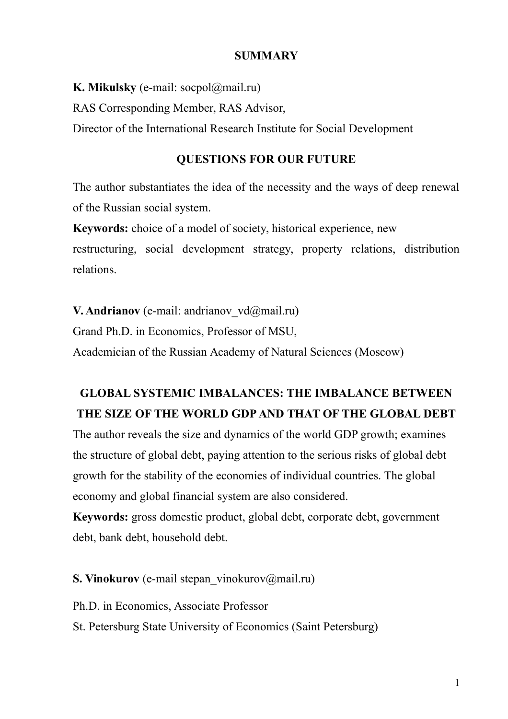#### **SUMMARY**

**K. Mikulsky** (e-mail: socpol@mail.ru)

RAS Corresponding Member, RAS Advisor,

Director of the International Research Institute for Social Development

### **QUESTIONS FOR OUR FUTURE**

The author substantiates the idea of the necessity and the ways of deep renewal of the Russian social system.

**Keywords:** choice of a model of society, historical experience, new restructuring, social development strategy, property relations, distribution relations.

**V. Andrianov** (e-mail: andrianov vd@mail.ru)

Grand Ph.D. in Economics, Professor of MSU,

Аcademician of the Russian Academy of Natural Sciences (Moscow)

### **GLOBAL SYSTEMIC IMBALANCES: THE IMBALANCE BETWEEN THE SIZE OF THE WORLD GDP AND THAT OF THE GLOBAL DEBT**

The author reveals the size and dynamics of the world GDP growth; examines the structure of global debt, paying attention to the serious risks of global debt growth for the stability of the economies of individual countries. The global economy and global financial system are also considered.

**Keywords:** gross domestic product, global debt, corporate debt, government debt, bank debt, household debt.

**S. Vinokurov** (e-mail stepan\_vinokurov@mail.ru)

Ph.D. in Economics, Associate Professor

St. Petersburg State University of Economics (Saint Petersburg)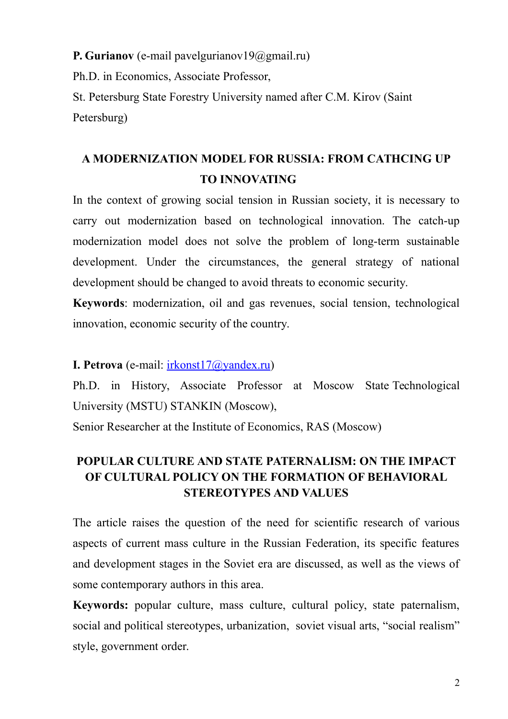**P. Gurianov** (e-mail pavelgurianov19@gmail.ru) Ph.D. in Economics, Associate Professor, St. Petersburg State Forestry University named after C.M. Kirov (Saint Petersburg)

### **A MODERNIZATION MODEL FOR RUSSIA: FROM CATHCING UP TO INNOVATING**

In the context of growing social tension in Russian society, it is necessary to carry out modernization based on technological innovation. The catch-up modernization model does not solve the problem of long-term sustainable development. Under the circumstances, the general strategy of national development should be changed to avoid threats to economic security.

**Keywords**: modernization, oil and gas revenues, social tension, technological innovation, economic security of the country.

**I. Petrova** (e-mail: [irkonst17@yandex.ru\)](https://e.mail.ru/compose/?mailto=mailto%3Airkonst17@yandex.ru)

Ph.D. in History, Associate Professor at Moscow State Technological University (MSTU) STANKIN (Moscow),

Senior Researcher at the Institute of Economics, RAS (Moscow)

### **POPULAR CULTURE AND STATE PATERNALISM: ON THE IMPACT OF CULTURAL POLICY ON THE FORMATION OF BEHAVIORAL STEREOTYPES AND VALUES**

The article raises the question of the need for scientific research of various aspects of current mass culture in the Russian Federation, its specific features and development stages in the Soviet era are discussed, as well as the views of some contemporary authors in this area.

**Keywords:** popular culture, mass culture, cultural policy, state paternalism, social and political stereotypes, urbanization, soviet visual arts, "social realism" style, government order.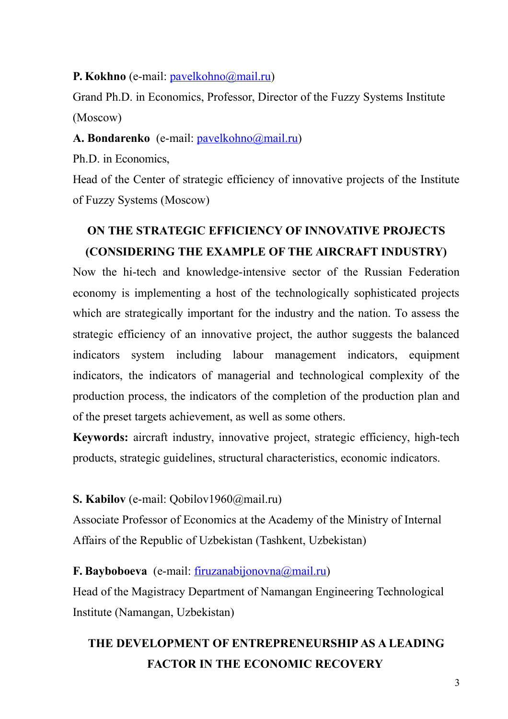**P. Kokhno** (e-mail: [pavelkohno@mail.ru\)](mailto:pavelkohno@mail.ru)

Grand Ph.D. in Economics, Professor, Director of the Fuzzy Systems Institute (Moscow)

A. Bondarenko (e-mail: [pavelkohno@mail.ru\)](mailto:pavelkohno@mail.ru)

Ph.D. in Economics,

Head of the Center of strategic efficiency of innovative projects of the Institute of Fuzzy Systems (Moscow)

# **ON THE STRATEGIC EFFICIENCY OF INNOVATIVE PROJECTS (CONSIDERING THE EXAMPLE OF THE AIRCRAFT INDUSTRY)**

Now the hi-tech and knowledge-intensive sector of the Russian Federation economy is implementing a host of the technologically sophisticated projects which are strategically important for the industry and the nation. To assess the strategic efficiency of an innovative project, the author suggests the balanced indicators system including labour management indicators, equipment indicators, the indicators of managerial and technological complexity of the production process, the indicators of the completion of the production plan and of the preset targets achievement, as well as some others.

**Keywords:** aircraft industry, innovative project, strategic efficiency, high-tech products, strategic guidelines, structural characteristics, economic indicators.

### **S. Kabilov** (e-mail: Qobilov1960@mail.ru)

Associate Professor of Economics at the Academy of the Ministry of Internal Affairs of the Republic of Uzbekistan (Tashkent, Uzbekistan)

#### **F. Bayboboeva** (e-mail: <u>firuzanabijonovna@mail.ru)</u>

Head of the Magistracy Department of Namangan Engineering Technological Institute (Namangan, Uzbekistan)

# **THE DEVELOPMENT OF ENTREPRENEURSHIP AS A LEADING FACTOR IN THE ECONOMIC RECOVERY**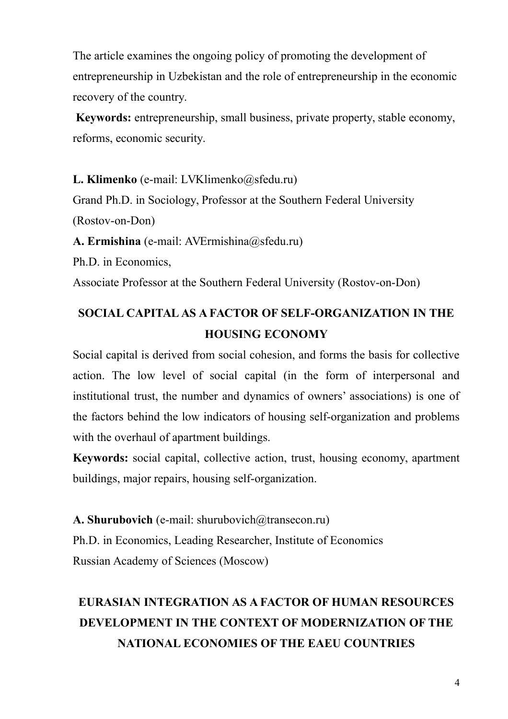The article examines the ongoing policy of promoting the development of entrepreneurship in Uzbekistan and the role of entrepreneurship in the economic recovery of the country.

**Keywords:** entrepreneurship, small business, private property, stable economy, reforms, economic security.

**L. Klimenko** (e-mail: LVKlimenko@sfedu.ru)

Grand Ph.D. in Sociology, Professor at the Southern Federal University

(Rostov-on-Don)

**A. Ermishina** (e-mail: AVErmishina@sfedu.ru)

Ph.D. in Economics,

Associate Professor at the Southern Federal University (Rostov-on-Don)

# **SOCIAL CAPITAL AS A FACTOR OF SELF-ORGANIZATION IN THE HOUSING ECONOMY**

Social capital is derived from social cohesion, and forms the basis for collective action. The low level of social capital (in the form of interpersonal and institutional trust, the number and dynamics of owners' associations) is one of the factors behind the low indicators of housing self-organization and problems with the overhaul of apartment buildings.

**Keywords:** social capital, collective action, trust, housing economy, apartment buildings, major repairs, housing self-organization.

A. Shurubovich (e-mail: shurubovich@transecon.ru) Ph.D. in Economics, Leading Researcher, Institute of Economics Russian Academy of Sciences (Moscow)

# **EURASIAN INTEGRATION AS A FACTOR OF HUMAN RESOURCES DEVELOPMENT IN THE CONTEXT OF MODERNIZATION OF THE NATIONAL ECONOMIES OF THE EAEU COUNTRIES**